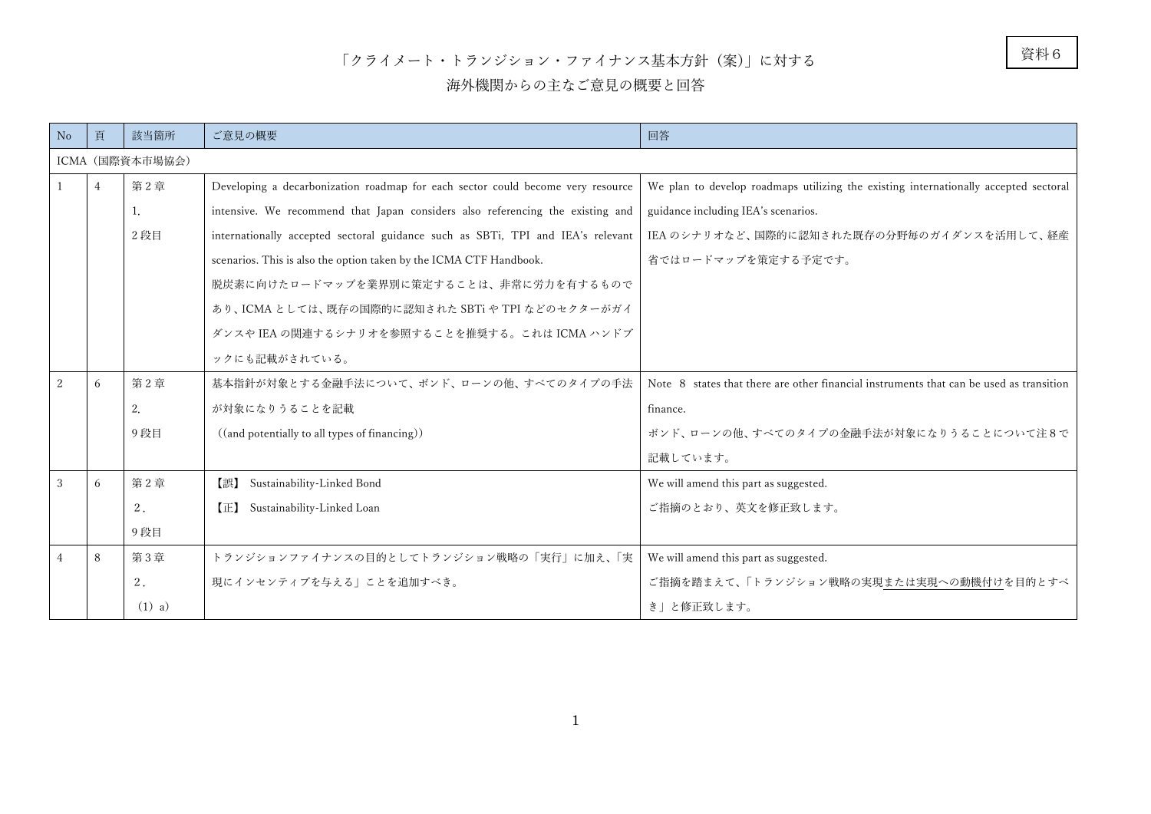## 「クライメート・トランジション・ファイナンス基本方針(案)」に対する

## 海外機関からの主なご意見の概要と回答

| No             | 頁               | 該当箇所     | ご意見の概要                                                                          | 回答                                                                                      |
|----------------|-----------------|----------|---------------------------------------------------------------------------------|-----------------------------------------------------------------------------------------|
|                | ICMA (国際資本市場協会) |          |                                                                                 |                                                                                         |
| $\mathbf{1}$   | 4               | 第2章      | Developing a decarbonization roadmap for each sector could become very resource | We plan to develop roadmaps utilizing the existing internationally accepted sectoral    |
|                |                 | 1.       | intensive. We recommend that Japan considers also referencing the existing and  | guidance including IEA's scenarios.                                                     |
|                |                 | 2 段目     | internationally accepted sectoral guidance such as SBTi, TPI and IEA's relevant | IEA のシナリオなど、国際的に認知された既存の分野毎のガイダンスを活用して、経産                                               |
|                |                 |          | scenarios. This is also the option taken by the ICMA CTF Handbook.              | 省ではロードマップを策定する予定です。                                                                     |
|                |                 |          | 脱炭素に向けたロードマップを業界別に策定することは、非常に労力を有するもので                                          |                                                                                         |
|                |                 |          | あり、ICMA としては、既存の国際的に認知された SBTi や TPI などのセクターがガイ                                 |                                                                                         |
|                |                 |          | ダンスや IEA の関連するシナリオを参照することを推奨する。これは ICMA ハンドブ                                    |                                                                                         |
|                |                 |          | ックにも記載がされている。                                                                   |                                                                                         |
| 2              | 6               | 第2章      | 基本指針が対象とする金融手法について、ボンド、ローンの他、すべてのタイプの手法                                         | Note 8 states that there are other financial instruments that can be used as transition |
|                |                 | 2.       | が対象になりうることを記載                                                                   | finance.                                                                                |
|                |                 | 9段目      | ((and potentially to all types of financing))                                   | ボンド、ローンの他、すべてのタイプの金融手法が対象になりうることについて注8で                                                 |
|                |                 |          |                                                                                 | 記載しています。                                                                                |
| 3              | 6               | 第2章      | Sustainability-Linked Bond<br>【誤】                                               | We will amend this part as suggested.                                                   |
|                |                 | 2.       | Sustainability-Linked Loan<br>(E)                                               | ご指摘のとおり、英文を修正致します。                                                                      |
|                |                 | 9段目      |                                                                                 |                                                                                         |
| $\overline{4}$ | 8               | 第3章      | トランジションファイナンスの目的としてトランジション戦略の「実行」に加え、「実                                         | We will amend this part as suggested.                                                   |
|                |                 | 2.       | 現にインセンティブを与える  ことを追加すべき。                                                        | ご指摘を踏まえて、「トランジション戦略の実現または実現への動機付けを目的とすべ                                                 |
|                |                 | $(1)$ a) |                                                                                 | き」と修正致します。                                                                              |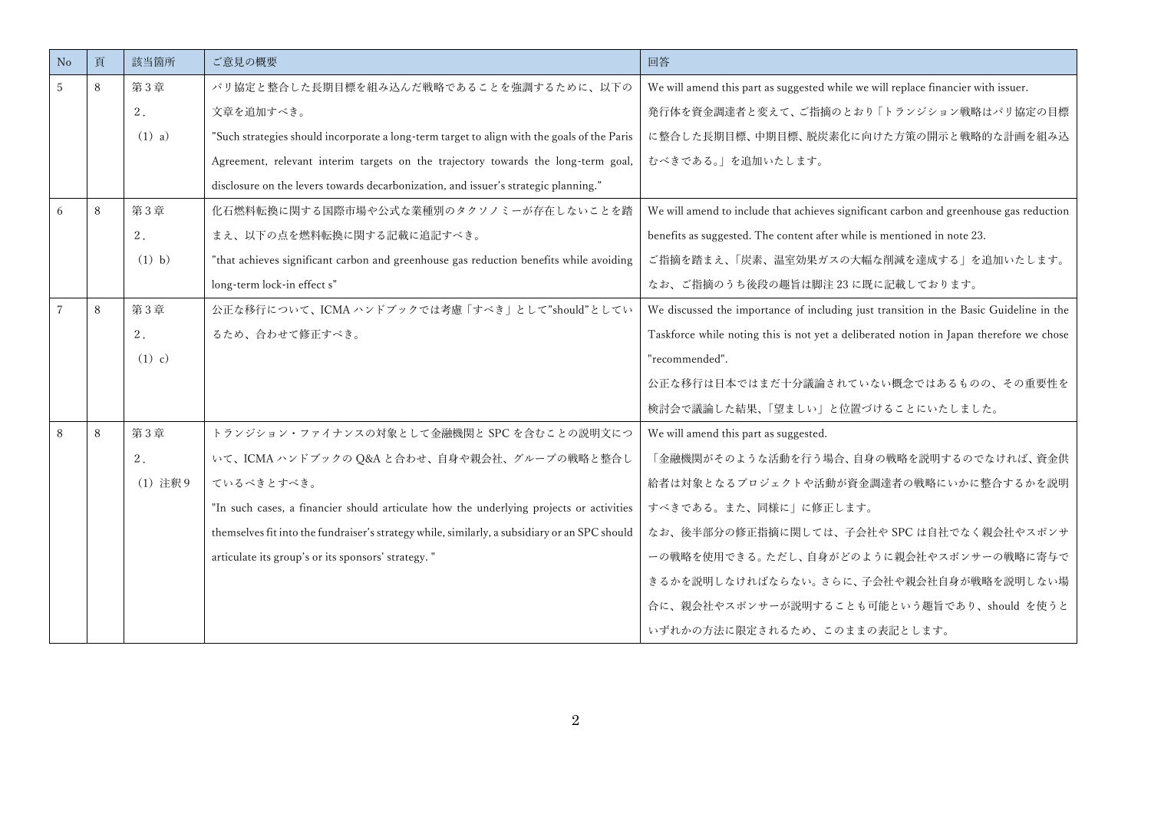| No | 頁 | 該当箇所     | ご意見の概要                                                                                        | 回答                                                                                      |
|----|---|----------|-----------------------------------------------------------------------------------------------|-----------------------------------------------------------------------------------------|
| 5  | 8 | 第3章      | パリ協定と整合した長期目標を組み込んだ戦略であることを強調するために、以下の                                                        | We will amend this part as suggested while we will replace financier with issuer.       |
|    |   | 2.       | 文章を追加すべき。                                                                                     | 発行体を資金調達者と変えて、ご指摘のとおり「トランジション戦略はパリ協定の目標                                                 |
|    |   | $(1)$ a) | "Such strategies should incorporate a long-term target to align with the goals of the Paris   | に整合した長期目標、中期目標、脱炭素化に向けた方策の開示と戦略的な計画を組み込                                                 |
|    |   |          | Agreement, relevant interim targets on the trajectory towards the long-term goal,             | むべきである。」を追加いたします。                                                                       |
|    |   |          | disclosure on the levers towards decarbonization, and issuer's strategic planning."           |                                                                                         |
| 6  | 8 | 第3章      | 化石燃料転換に関する国際市場や公式な業種別のタクソノミーが存在しないことを踏                                                        | We will amend to include that achieves significant carbon and greenhouse gas reduction  |
|    |   | 2.       | まえ、以下の点を燃料転換に関する記載に追記すべき。                                                                     | benefits as suggested. The content after while is mentioned in note 23.                 |
|    |   | $(1)$ b) | "that achieves significant carbon and greenhouse gas reduction benefits while avoiding        | ご指摘を踏まえ、「炭素、温室効果ガスの大幅な削減を達成する」を追加いたします。                                                 |
|    |   |          | long-term lock-in effect s"                                                                   | なお、ご指摘のうち後段の趣旨は脚注23に既に記載しております。                                                         |
|    | 8 | 第3章      | 公正な移行について、ICMA ハンドブックでは考慮「すべき」として"should"としてい                                                 | We discussed the importance of including just transition in the Basic Guideline in the  |
|    |   | 2.       | るため、合わせて修正すべき。                                                                                | Taskforce while noting this is not yet a deliberated notion in Japan therefore we chose |
|    |   | $(1)$ c) |                                                                                               | "recommended".                                                                          |
|    |   |          |                                                                                               | 公正な移行は日本ではまだ十分議論されていない概念ではあるものの、その重要性を                                                  |
|    |   |          |                                                                                               | 検討会で議論した結果、「望ましい」と位置づけることにいたしました。                                                       |
| 8  | 8 | 第3章      | トランジション・ファイナンスの対象として金融機関と SPC を含むことの説明文につ                                                     | We will amend this part as suggested.                                                   |
|    |   | 2.       | いて、ICMA ハンドブックの Q&A と合わせ、自身や親会社、グループの戦略と整合し                                                   | 「金融機関がそのような活動を行う場合、自身の戦略を説明するのでなければ、資金供                                                 |
|    |   | (1) 注釈 9 | ているべきとすべき。                                                                                    | 給者は対象となるプロジェクトや活動が資金調達者の戦略にいかに整合するかを説明                                                  |
|    |   |          | "In such cases, a financier should articulate how the underlying projects or activities       | すべきである。また、同様に」に修正します。                                                                   |
|    |   |          | themselves fit into the fundraiser's strategy while, similarly, a subsidiary or an SPC should | なお、後半部分の修正指摘に関しては、子会社や SPC は自社でなく親会社やスポンサ                                               |
|    |   |          | articulate its group's or its sponsors' strategy. "                                           | ーの戦略を使用できる。ただし、自身がどのように親会社やスポンサーの戦略に寄与で                                                 |
|    |   |          |                                                                                               | きるかを説明しなければならない。さらに、子会社や親会社自身が戦略を説明しない場                                                 |
|    |   |          |                                                                                               | 合に、親会社やスポンサーが説明することも可能という趣旨であり、should を使うと                                              |
|    |   |          |                                                                                               | いずれかの方法に限定されるため、このままの表記とします。                                                            |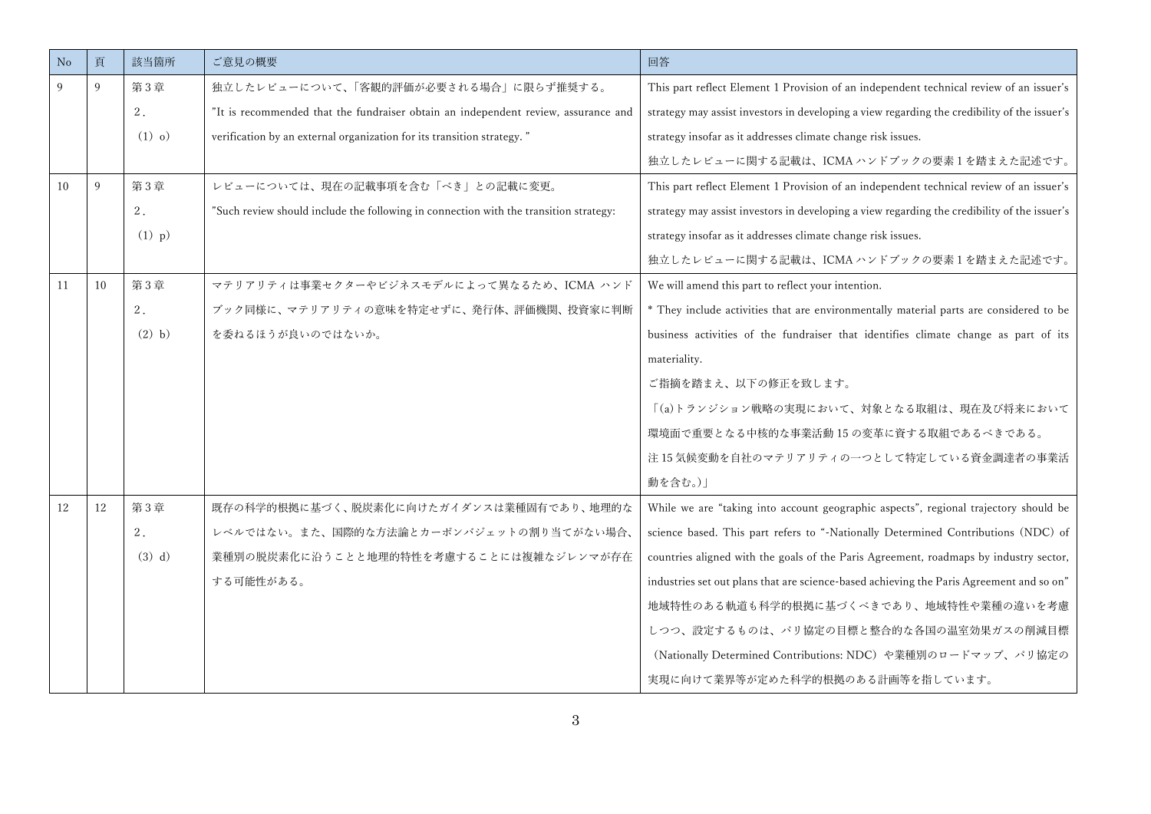| No | 頁  | 該当箇所     | ご意見の概要                                                                                | 回答                                                                                           |
|----|----|----------|---------------------------------------------------------------------------------------|----------------------------------------------------------------------------------------------|
| 9  | 9  | 第3章      | 独立したレビューについて、「客観的評価が必要される場合」に限らず推奨する。                                                 | This part reflect Element 1 Provision of an independent technical review of an issuer's      |
|    |    | 2.       | "It is recommended that the fundraiser obtain an independent review, assurance and    | strategy may assist investors in developing a view regarding the credibility of the issuer's |
|    |    | $(1)$ o) | verification by an external organization for its transition strategy."                | strategy insofar as it addresses climate change risk issues.                                 |
|    |    |          |                                                                                       | 独立したレビューに関する記載は、ICMA ハンドブックの要素1を踏まえた記述です。                                                    |
| 10 | 9  | 第3章      | レビューについては、現在の記載事項を含む「べき」との記載に変更。                                                      | This part reflect Element 1 Provision of an independent technical review of an issuer's      |
|    |    | 2.       | "Such review should include the following in connection with the transition strategy: | strategy may assist investors in developing a view regarding the credibility of the issuer's |
|    |    | $(1)$ p) |                                                                                       | strategy insofar as it addresses climate change risk issues.                                 |
|    |    |          |                                                                                       | 独立したレビューに関する記載は、ICMA ハンドブックの要素1を踏まえた記述です。                                                    |
| 11 | 10 | 第3章      | マテリアリティは事業セクターやビジネスモデルによって異なるため、ICMA ハンド                                              | We will amend this part to reflect your intention.                                           |
|    |    | 2.       | ブック同様に、マテリアリティの意味を特定せずに、発行体、評価機関、投資家に判断                                               | * They include activities that are environmentally material parts are considered to be       |
|    |    | $(2)$ b) | を委ねるほうが良いのではないか。                                                                      | business activities of the fundraiser that identifies climate change as part of its          |
|    |    |          |                                                                                       | materiality.                                                                                 |
|    |    |          |                                                                                       | ご指摘を踏まえ、以下の修正を致します。                                                                          |
|    |    |          |                                                                                       | 「(a)トランジション戦略の実現において、対象となる取組は、現在及び将来において                                                     |
|    |    |          |                                                                                       | 環境面で重要となる中核的な事業活動 15 の変革に資する取組であるべきである。                                                      |
|    |    |          |                                                                                       | 注15気候変動を自社のマテリアリティの一つとして特定している資金調達者の事業活                                                      |
|    |    |          |                                                                                       | 動を含む。)                                                                                       |
| 12 | 12 | 第3章      | 既存の科学的根拠に基づく、脱炭素化に向けたガイダンスは業種固有であり、地理的な                                               | While we are "taking into account geographic aspects", regional trajectory should be         |
|    |    | 2.       | レベルではない。また、国際的な方法論とカーボンバジェットの割り当てがない場合、                                               | science based. This part refers to "-Nationally Determined Contributions (NDC) of            |
|    |    | $(3)$ d) | 業種別の脱炭素化に沿うことと地理的特性を考慮することには複雑なジレンマが存在                                                | countries aligned with the goals of the Paris Agreement, roadmaps by industry sector,        |
|    |    |          | する可能性がある。                                                                             | industries set out plans that are science-based achieving the Paris Agreement and so on"     |
|    |    |          |                                                                                       | 地域特性のある軌道も科学的根拠に基づくべきであり、地域特性や業種の違いを考慮                                                       |
|    |    |          |                                                                                       | しつつ、設定するものは、パリ協定の目標と整合的な各国の温室効果ガスの削減目標                                                       |
|    |    |          |                                                                                       | (Nationally Determined Contributions: NDC) や業種別のロードマップ、パリ協定の                                 |
|    |    |          |                                                                                       | 実現に向けて業界等が定めた科学的根拠のある計画等を指しています。                                                             |